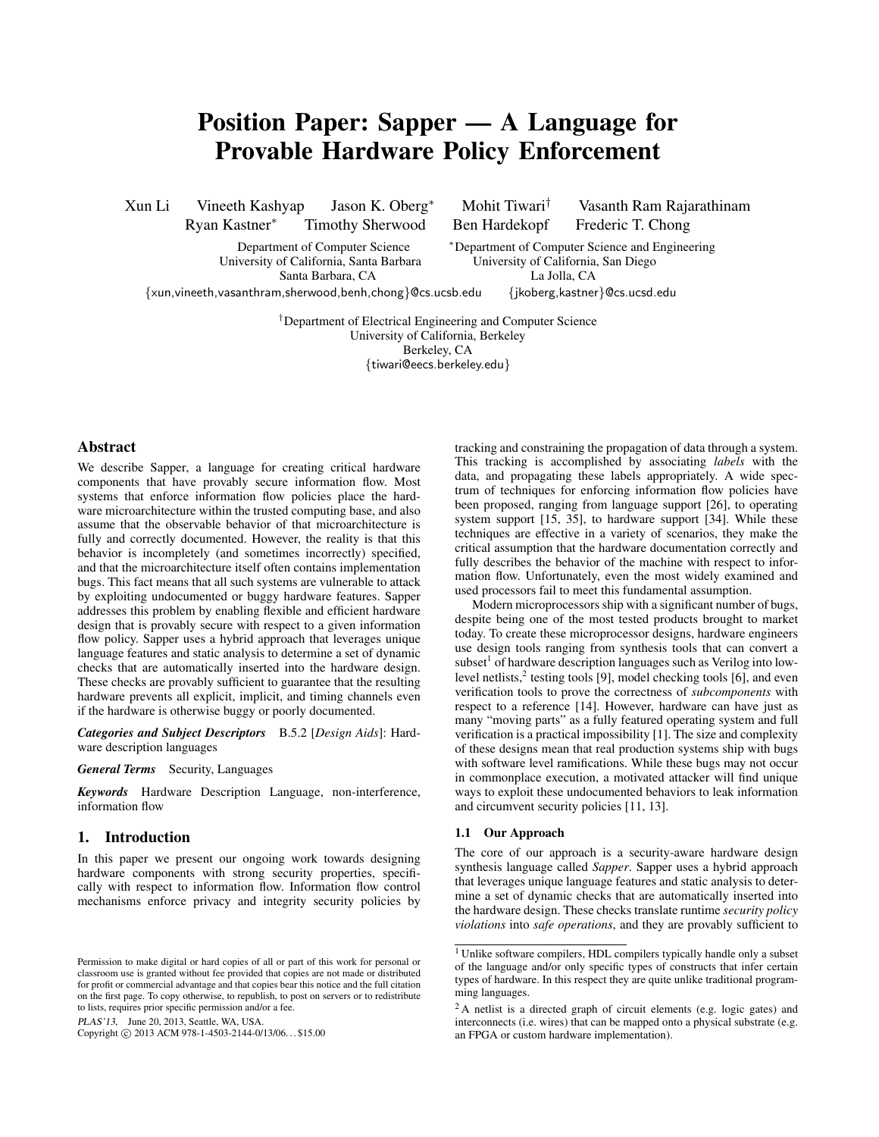# Position Paper: Sapper — A Language for Provable Hardware Policy Enforcement

Xun Li Vineeth Kashyap Jason K. Oberg*∗* Mohit Tiwari*†* Vasanth Ram Rajarathinam Ryan Kastner*∗* Timothy Sherwood Ben Hardekopf Frederic T. Chong

University of California, Santa Barbara

Department of Computer Science <sup>\*</sup>Department of Computer Science and Engineering<br>iversity of California, Santa Barbara *University of California*, San Diego Santa Barbara, CA La Jolla, CA

*{*xun,vineeth,vasanthram,sherwood,benh,chong*}*@cs.ucsb.edu *{*jkoberg,kastner*}*@cs.ucsd.edu

*†*Department of Electrical Engineering and Computer Science University of California, Berkeley Berkeley, CA *{*tiwari@eecs.berkeley.edu*}*

# Abstract

We describe Sapper, a language for creating critical hardware components that have provably secure information flow. Most systems that enforce information flow policies place the hardware microarchitecture within the trusted computing base, and also assume that the observable behavior of that microarchitecture is fully and correctly documented. However, the reality is that this behavior is incompletely (and sometimes incorrectly) specified, and that the microarchitecture itself often contains implementation bugs. This fact means that all such systems are vulnerable to attack by exploiting undocumented or buggy hardware features. Sapper addresses this problem by enabling flexible and efficient hardware design that is provably secure with respect to a given information flow policy. Sapper uses a hybrid approach that leverages unique language features and static analysis to determine a set of dynamic checks that are automatically inserted into the hardware design. These checks are provably sufficient to guarantee that the resulting hardware prevents all explicit, implicit, and timing channels even if the hardware is otherwise buggy or poorly documented.

*Categories and Subject Descriptors* B.5.2 [*Design Aids*]: Hardware description languages

### *General Terms* Security, Languages

*Keywords* Hardware Description Language, non-interference, information flow

# 1. Introduction

In this paper we present our ongoing work towards designing hardware components with strong security properties, specifically with respect to information flow. Information flow control mechanisms enforce privacy and integrity security policies by

PLAS'13, June 20, 2013, Seattle, WA, USA.

Copyright *⃝*c 2013 ACM 978-1-4503-2144-0/13/06. . . \$15.00

tracking and constraining the propagation of data through a system. This tracking is accomplished by associating *labels* with the data, and propagating these labels appropriately. A wide spectrum of techniques for enforcing information flow policies have been proposed, ranging from language support [26], to operating system support [15, 35], to hardware support [34]. While these techniques are effective in a variety of scenarios, they make the critical assumption that the hardware documentation correctly and fully describes the behavior of the machine with respect to information flow. Unfortunately, even the most widely examined and used processors fail to meet this fundamental assumption.

Modern microprocessors ship with a significant number of bugs, despite being one of the most tested products brought to market today. To create these microprocessor designs, hardware engineers use design tools ranging from synthesis tools that can convert a subset<sup>1</sup> of hardware description languages such as Verilog into lowlevel netlists,<sup>2</sup> testing tools [9], model checking tools [6], and even verification tools to prove the correctness of *subcomponents* with respect to a reference [14]. However, hardware can have just as many "moving parts" as a fully featured operating system and full verification is a practical impossibility [1]. The size and complexity of these designs mean that real production systems ship with bugs with software level ramifications. While these bugs may not occur in commonplace execution, a motivated attacker will find unique ways to exploit these undocumented behaviors to leak information and circumvent security policies [11, 13].

#### 1.1 Our Approach

The core of our approach is a security-aware hardware design synthesis language called *Sapper*. Sapper uses a hybrid approach that leverages unique language features and static analysis to determine a set of dynamic checks that are automatically inserted into the hardware design. These checks translate runtime *security policy violations* into *safe operations*, and they are provably sufficient to

Permission to make digital or hard copies of all or part of this work for personal or classroom use is granted without fee provided that copies are not made or distributed for profit or commercial advantage and that copies bear this notice and the full citation on the first page. To copy otherwise, to republish, to post on servers or to redistribute to lists, requires prior specific permission and/or a fee.

<sup>&</sup>lt;sup>1</sup> Unlike software compilers, HDL compilers typically handle only a subset of the language and/or only specific types of constructs that infer certain types of hardware. In this respect they are quite unlike traditional programming languages.

<sup>&</sup>lt;sup>2</sup> A netlist is a directed graph of circuit elements (e.g. logic gates) and interconnects (i.e. wires) that can be mapped onto a physical substrate (e.g. an FPGA or custom hardware implementation).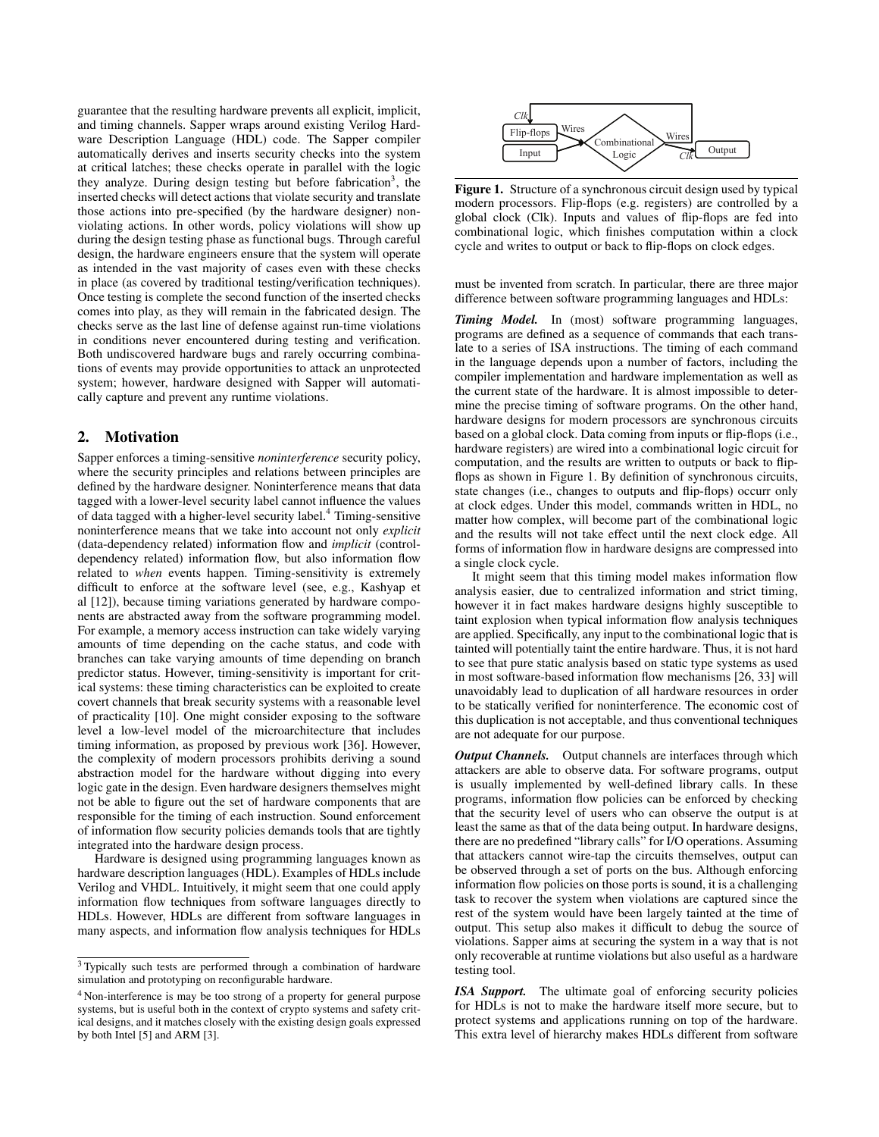guarantee that the resulting hardware prevents all explicit, implicit, and timing channels. Sapper wraps around existing Verilog Hardware Description Language (HDL) code. The Sapper compiler automatically derives and inserts security checks into the system at critical latches; these checks operate in parallel with the logic they analyze. During design testing but before fabrication<sup>3</sup>, the inserted checks will detect actions that violate security and translate those actions into pre-specified (by the hardware designer) nonviolating actions. In other words, policy violations will show up during the design testing phase as functional bugs. Through careful design, the hardware engineers ensure that the system will operate as intended in the vast majority of cases even with these checks in place (as covered by traditional testing/verification techniques). Once testing is complete the second function of the inserted checks comes into play, as they will remain in the fabricated design. The checks serve as the last line of defense against run-time violations in conditions never encountered during testing and verification. Both undiscovered hardware bugs and rarely occurring combinations of events may provide opportunities to attack an unprotected system; however, hardware designed with Sapper will automatically capture and prevent any runtime violations.

# 2. Motivation

Sapper enforces a timing-sensitive *noninterference* security policy, where the security principles and relations between principles are defined by the hardware designer. Noninterference means that data tagged with a lower-level security label cannot influence the values of data tagged with a higher-level security label.<sup>4</sup> Timing-sensitive noninterference means that we take into account not only *explicit* (data-dependency related) information flow and *implicit* (controldependency related) information flow, but also information flow related to *when* events happen. Timing-sensitivity is extremely difficult to enforce at the software level (see, e.g., Kashyap et al [12]), because timing variations generated by hardware components are abstracted away from the software programming model. For example, a memory access instruction can take widely varying amounts of time depending on the cache status, and code with branches can take varying amounts of time depending on branch predictor status. However, timing-sensitivity is important for critical systems: these timing characteristics can be exploited to create covert channels that break security systems with a reasonable level of practicality [10]. One might consider exposing to the software level a low-level model of the microarchitecture that includes timing information, as proposed by previous work [36]. However, the complexity of modern processors prohibits deriving a sound abstraction model for the hardware without digging into every logic gate in the design. Even hardware designers themselves might not be able to figure out the set of hardware components that are responsible for the timing of each instruction. Sound enforcement of information flow security policies demands tools that are tightly integrated into the hardware design process. We have the results of the systems in the system in the system in the system internal methods with the system internal methods with the system internal methods with the system internal methods with the system internal met

Hardware is designed using programming languages known as hardware description languages (HDL). Examples of HDLs include Verilog and VHDL. Intuitively, it might seem that one could apply information flow techniques from software languages directly to HDLs. However, HDLs are different from software languages in many aspects, and information flow analysis techniques for HDLs



Figure 1. Structure of a synchronous circuit design used by typical modern processors. Flip-flops (e.g. registers) are controlled by a global clock (Clk). Inputs and values of flip-flops are fed into combinational logic, which finishes computation within a clock cycle and writes to output or back to flip-flops on clock edges.

must be invented from scratch. In particular, there are three major difference between software programming languages and HDLs:

*Timing Model.* In (most) software programming languages, programs are defined as a sequence of commands that each translate to a series of ISA instructions. The timing of each command in the language depends upon a number of factors, including the compiler implementation and hardware implementation as well as the current state of the hardware. It is almost impossible to determine the precise timing of software programs. On the other hand, hardware designs for modern processors are synchronous circuits based on a global clock. Data coming from inputs or flip-flops (i.e., hardware registers) are wired into a combinational logic circuit for computation, and the results are written to outputs or back to flipflops as shown in Figure 1. By definition of synchronous circuits, state changes (i.e., changes to outputs and flip-flops) occurr only at clock edges. Under this model, commands written in HDL, no matter how complex, will become part of the combinational logic and the results will not take effect until the next clock edge. All forms of information flow in hardware designs are compressed into a single clock cycle.

It might seem that this timing model makes information flow analysis easier, due to centralized information and strict timing, however it in fact makes hardware designs highly susceptible to taint explosion when typical information flow analysis techniques are applied. Specifically, any input to the combinational logic that is tainted will potentially taint the entire hardware. Thus, it is not hard to see that pure static analysis based on static type systems as used in most software-based information flow mechanisms [26, 33] will unavoidably lead to duplication of all hardware resources in order to be statically verified for noninterference. The economic cost of this duplication is not acceptable, and thus conventional techniques are not adequate for our purpose.

*Output Channels.* Output channels are interfaces through which attackers are able to observe data. For software programs, output is usually implemented by well-defined library calls. In these programs, information flow policies can be enforced by checking that the security level of users who can observe the output is at least the same as that of the data being output. In hardware designs, there are no predefined "library calls" for I/O operations. Assuming that attackers cannot wire-tap the circuits themselves, output can be observed through a set of ports on the bus. Although enforcing information flow policies on those ports is sound, it is a challenging task to recover the system when violations are captured since the rest of the system would have been largely tainted at the time of output. This setup also makes it difficult to debug the source of violations. Sapper aims at securing the system in a way that is not only recoverable at runtime violations but also useful as a hardware testing tool.

*ISA Support.* The ultimate goal of enforcing security policies for HDLs is not to make the hardware itself more secure, but to protect systems and applications running on top of the hardware. This extra level of hierarchy makes HDLs different from software

<sup>&</sup>lt;sup>3</sup> Typically such tests are performed through a combination of hardware simulation and prototyping on reconfigurable hardware.

<sup>4</sup> Non-interference is may be too strong of a property for general purpose systems, but is useful both in the context of crypto systems and safety critical designs, and it matches closely with the existing design goals expressed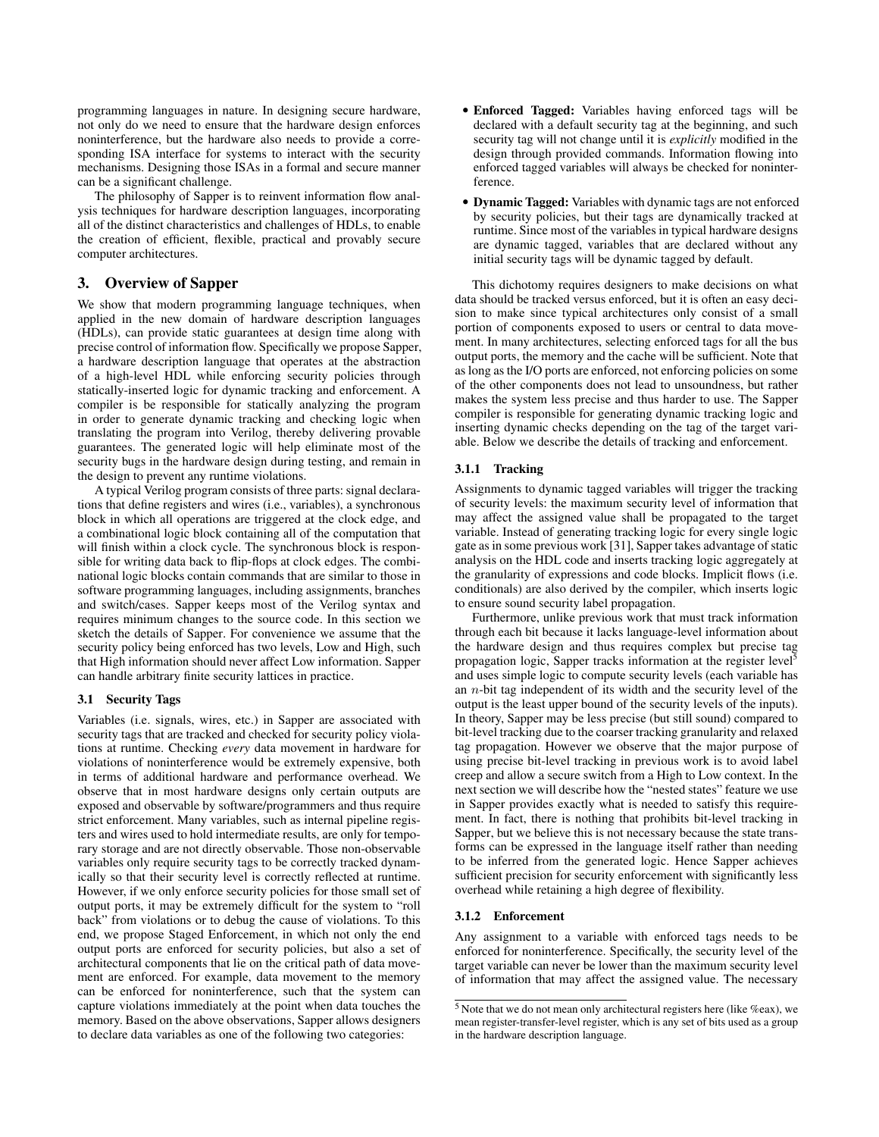programming languages in nature. In designing secure hardware, not only do we need to ensure that the hardware design enforces noninterference, but the hardware also needs to provide a corresponding ISA interface for systems to interact with the security mechanisms. Designing those ISAs in a formal and secure manner can be a significant challenge.

The philosophy of Sapper is to reinvent information flow analysis techniques for hardware description languages, incorporating all of the distinct characteristics and challenges of HDLs, to enable the creation of efficient, flexible, practical and provably secure computer architectures.

# 3. Overview of Sapper

We show that modern programming language techniques, when applied in the new domain of hardware description languages (HDLs), can provide static guarantees at design time along with precise control of information flow. Specifically we propose Sapper, a hardware description language that operates at the abstraction of a high-level HDL while enforcing security policies through statically-inserted logic for dynamic tracking and enforcement. A compiler is be responsible for statically analyzing the program in order to generate dynamic tracking and checking logic when translating the program into Verilog, thereby delivering provable guarantees. The generated logic will help eliminate most of the security bugs in the hardware design during testing, and remain in the design to prevent any runtime violations.

A typical Verilog program consists of three parts: signal declarations that define registers and wires (i.e., variables), a synchronous block in which all operations are triggered at the clock edge, and a combinational logic block containing all of the computation that will finish within a clock cycle. The synchronous block is responsible for writing data back to flip-flops at clock edges. The combinational logic blocks contain commands that are similar to those in software programming languages, including assignments, branches and switch/cases. Sapper keeps most of the Verilog syntax and requires minimum changes to the source code. In this section we sketch the details of Sapper. For convenience we assume that the security policy being enforced has two levels, Low and High, such that High information should never affect Low information. Sapper can handle arbitrary finite security lattices in practice.

# 3.1 Security Tags

Variables (i.e. signals, wires, etc.) in Sapper are associated with security tags that are tracked and checked for security policy violations at runtime. Checking *every* data movement in hardware for violations of noninterference would be extremely expensive, both in terms of additional hardware and performance overhead. We observe that in most hardware designs only certain outputs are exposed and observable by software/programmers and thus require strict enforcement. Many variables, such as internal pipeline registers and wires used to hold intermediate results, are only for temporary storage and are not directly observable. Those non-observable variables only require security tags to be correctly tracked dynamically so that their security level is correctly reflected at runtime. However, if we only enforce security policies for those small set of output ports, it may be extremely difficult for the system to "roll back" from violations or to debug the cause of violations. To this end, we propose Staged Enforcement, in which not only the end output ports are enforced for security policies, but also a set of architectural components that lie on the critical path of data movement are enforced. For example, data movement to the memory can be enforced for noninterference, such that the system can capture violations immediately at the point when data touches the memory. Based on the above observations, Sapper allows designers to declare data variables as one of the following two categories:

- *•* Enforced Tagged: Variables having enforced tags will be declared with a default security tag at the beginning, and such security tag will not change until it is *explicitly* modified in the design through provided commands. Information flowing into enforced tagged variables will always be checked for noninterference.
- *•* Dynamic Tagged: Variables with dynamic tags are not enforced by security policies, but their tags are dynamically tracked at runtime. Since most of the variables in typical hardware designs are dynamic tagged, variables that are declared without any initial security tags will be dynamic tagged by default.

This dichotomy requires designers to make decisions on what data should be tracked versus enforced, but it is often an easy decision to make since typical architectures only consist of a small portion of components exposed to users or central to data movement. In many architectures, selecting enforced tags for all the bus output ports, the memory and the cache will be sufficient. Note that as long as the I/O ports are enforced, not enforcing policies on some of the other components does not lead to unsoundness, but rather makes the system less precise and thus harder to use. The Sapper compiler is responsible for generating dynamic tracking logic and inserting dynamic checks depending on the tag of the target variable. Below we describe the details of tracking and enforcement.

#### 3.1.1 Tracking

Assignments to dynamic tagged variables will trigger the tracking of security levels: the maximum security level of information that may affect the assigned value shall be propagated to the target variable. Instead of generating tracking logic for every single logic gate as in some previous work [31], Sapper takes advantage of static analysis on the HDL code and inserts tracking logic aggregately at the granularity of expressions and code blocks. Implicit flows (i.e. conditionals) are also derived by the compiler, which inserts logic to ensure sound security label propagation.

Furthermore, unlike previous work that must track information through each bit because it lacks language-level information about the hardware design and thus requires complex but precise tag propagation logic, Sapper tracks information at the register level<sup>5</sup> and uses simple logic to compute security levels (each variable has an *n*-bit tag independent of its width and the security level of the output is the least upper bound of the security levels of the inputs). In theory, Sapper may be less precise (but still sound) compared to bit-level tracking due to the coarser tracking granularity and relaxed tag propagation. However we observe that the major purpose of using precise bit-level tracking in previous work is to avoid label creep and allow a secure switch from a High to Low context. In the next section we will describe how the "nested states" feature we use in Sapper provides exactly what is needed to satisfy this requirement. In fact, there is nothing that prohibits bit-level tracking in Sapper, but we believe this is not necessary because the state transforms can be expressed in the language itself rather than needing to be inferred from the generated logic. Hence Sapper achieves sufficient precision for security enforcement with significantly less overhead while retaining a high degree of flexibility.

#### 3.1.2 Enforcement

Any assignment to a variable with enforced tags needs to be enforced for noninterference. Specifically, the security level of the target variable can never be lower than the maximum security level of information that may affect the assigned value. The necessary

 $5$  Note that we do not mean only architectural registers here (like %eax), we mean register-transfer-level register, which is any set of bits used as a group in the hardware description language.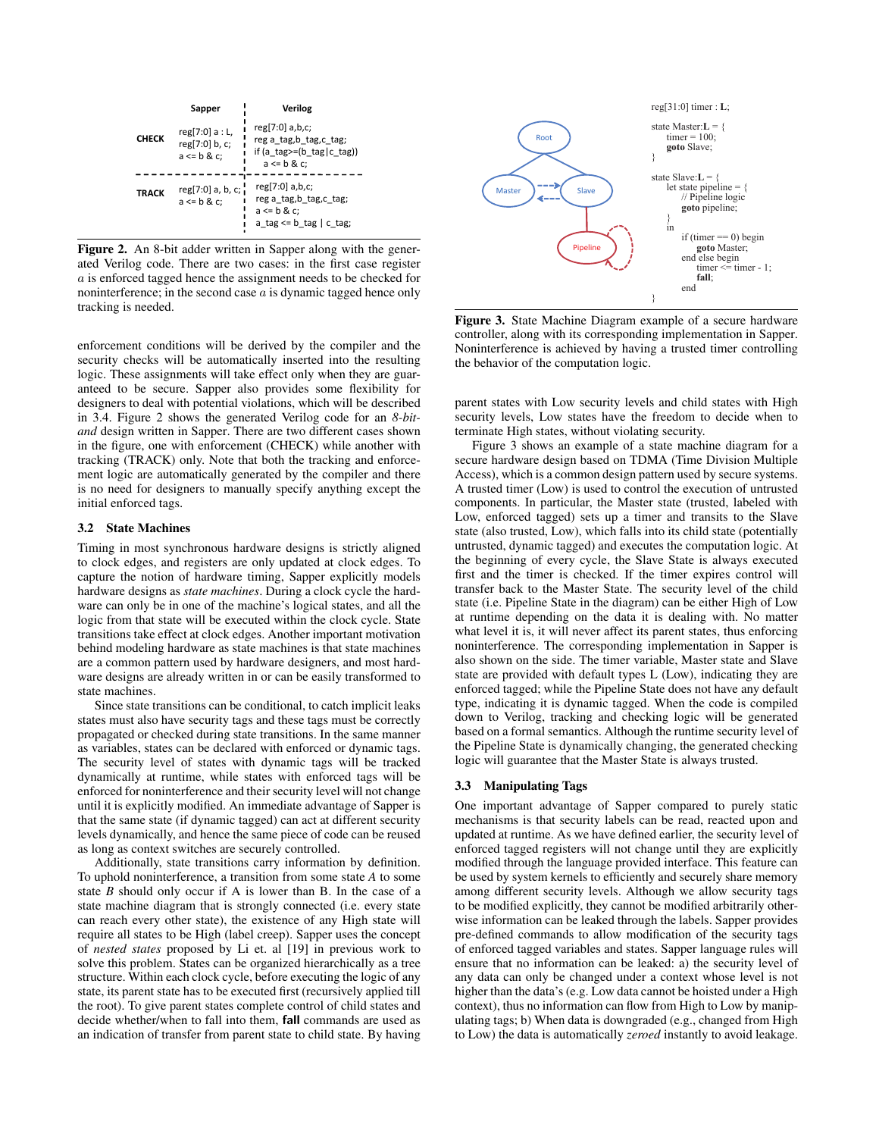|              | Sapper                                                | Verilog                                                                                                                 |
|--------------|-------------------------------------------------------|-------------------------------------------------------------------------------------------------------------------------|
| <b>CHECK</b> | reg[7:0] a : L,<br>reg[7:0] b, c;<br>$a \leq b & c$ ; | reg[7:0] a,b,c;<br>reg a_tag,b_tag,c_tag;<br>if $(a_t = ta) = (b_t = ta)$ $(c_t = ta)$<br>$a \leq b \&c$ ;              |
| TRACK        | reg[7:0] a, b, c;<br>$a \leq b \&c$ ;                 | reg[7:0] a,b,c;<br>reg a_tag,b_tag,c_tag;<br>$a \leq b \&c$ ;<br>$a_{\text{mag}} \leq b_{\text{mag}} \, c_{\text{tag}}$ |

Figure 2. An 8-bit adder written in Sapper along with the generated Verilog code. There are two cases: in the first case register *a* is enforced tagged hence the assignment needs to be checked for noninterference; in the second case *a* is dynamic tagged hence only tracking is needed.

enforcement conditions will be derived by the compiler and the security checks will be automatically inserted into the resulting logic. These assignments will take effect only when they are guaranteed to be secure. Sapper also provides some flexibility for designers to deal with potential violations, which will be described in 3.4. Figure 2 shows the generated Verilog code for an *8-bitand* design written in Sapper. There are two different cases shown in the figure, one with enforcement (CHECK) while another with tracking (TRACK) only. Note that both the tracking and enforcement logic are automatically generated by the compiler and there is no need for designers to manually specify anything except the initial enforced tags.

#### 3.2 State Machines

Timing in most synchronous hardware designs is strictly aligned to clock edges, and registers are only updated at clock edges. To capture the notion of hardware timing, Sapper explicitly models hardware designs as *state machines*. During a clock cycle the hardware can only be in one of the machine's logical states, and all the logic from that state will be executed within the clock cycle. State transitions take effect at clock edges. Another important motivation behind modeling hardware as state machines is that state machines are a common pattern used by hardware designers, and most hardware designs are already written in or can be easily transformed to state machines.

Since state transitions can be conditional, to catch implicit leaks states must also have security tags and these tags must be correctly propagated or checked during state transitions. In the same manner as variables, states can be declared with enforced or dynamic tags. The security level of states with dynamic tags will be tracked dynamically at runtime, while states with enforced tags will be enforced for noninterference and their security level will not change until it is explicitly modified. An immediate advantage of Sapper is that the same state (if dynamic tagged) can act at different security levels dynamically, and hence the same piece of code can be reused as long as context switches are securely controlled.

Additionally, state transitions carry information by definition. To uphold noninterference, a transition from some state *A* to some state *B* should only occur if A is lower than B. In the case of a state machine diagram that is strongly connected (i.e. every state can reach every other state), the existence of any High state will require all states to be High (label creep). Sapper uses the concept of *nested states* proposed by Li et. al [19] in previous work to solve this problem. States can be organized hierarchically as a tree structure. Within each clock cycle, before executing the logic of any state, its parent state has to be executed first (recursively applied till the root). To give parent states complete control of child states and decide whether/when to fall into them, **fall** commands are used as an indication of transfer from parent state to child state. By having



Figure 3. State Machine Diagram example of a secure hardware controller, along with its corresponding implementation in Sapper. Noninterference is achieved by having a trusted timer controlling the behavior of the computation logic.

parent states with Low security levels and child states with High security levels, Low states have the freedom to decide when to terminate High states, without violating security.

Figure 3 shows an example of a state machine diagram for a secure hardware design based on TDMA (Time Division Multiple Access), which is a common design pattern used by secure systems. A trusted timer (Low) is used to control the execution of untrusted components. In particular, the Master state (trusted, labeled with Low, enforced tagged) sets up a timer and transits to the Slave state (also trusted, Low), which falls into its child state (potentially untrusted, dynamic tagged) and executes the computation logic. At the beginning of every cycle, the Slave State is always executed first and the timer is checked. If the timer expires control will transfer back to the Master State. The security level of the child state (i.e. Pipeline State in the diagram) can be either High of Low at runtime depending on the data it is dealing with. No matter what level it is, it will never affect its parent states, thus enforcing noninterference. The corresponding implementation in Sapper is also shown on the side. The timer variable, Master state and Slave state are provided with default types L (Low), indicating they are enforced tagged; while the Pipeline State does not have any default type, indicating it is dynamic tagged. When the code is compiled down to Verilog, tracking and checking logic will be generated based on a formal semantics. Although the runtime security level of the Pipeline State is dynamically changing, the generated checking logic will guarantee that the Master State is always trusted.

#### 3.3 Manipulating Tags

One important advantage of Sapper compared to purely static mechanisms is that security labels can be read, reacted upon and updated at runtime. As we have defined earlier, the security level of enforced tagged registers will not change until they are explicitly modified through the language provided interface. This feature can be used by system kernels to efficiently and securely share memory among different security levels. Although we allow security tags to be modified explicitly, they cannot be modified arbitrarily otherwise information can be leaked through the labels. Sapper provides pre-defined commands to allow modification of the security tags of enforced tagged variables and states. Sapper language rules will ensure that no information can be leaked: a) the security level of any data can only be changed under a context whose level is not higher than the data's (e.g. Low data cannot be hoisted under a High context), thus no information can flow from High to Low by manipulating tags; b) When data is downgraded (e.g., changed from High to Low) the data is automatically *zeroed* instantly to avoid leakage.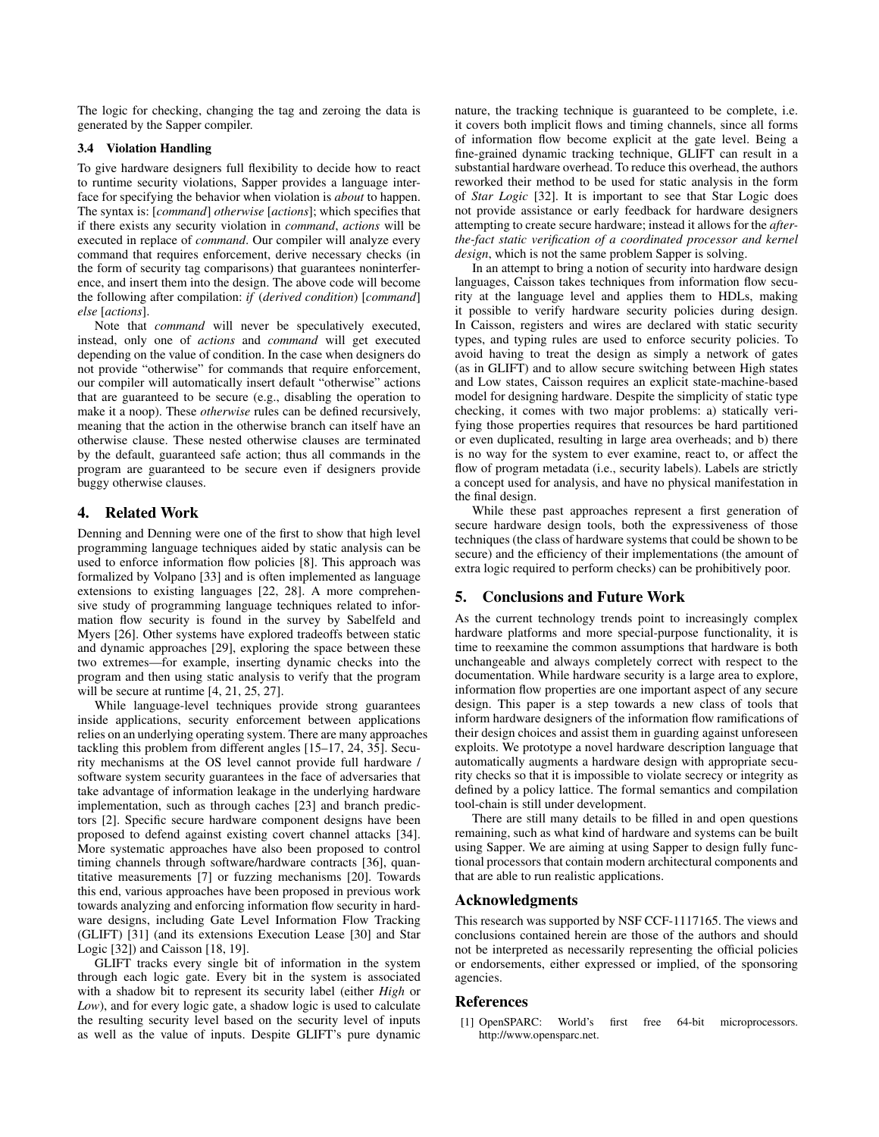The logic for checking, changing the tag and zeroing the data is generated by the Sapper compiler.

# 3.4 Violation Handling

To give hardware designers full flexibility to decide how to react to runtime security violations, Sapper provides a language interface for specifying the behavior when violation is *about* to happen. The syntax is: [*command*] *otherwise* [*actions*]; which specifies that if there exists any security violation in *command*, *actions* will be executed in replace of *command*. Our compiler will analyze every command that requires enforcement, derive necessary checks (in the form of security tag comparisons) that guarantees noninterference, and insert them into the design. The above code will become the following after compilation: *if* (*derived condition*) [*command*] *else* [*actions*].

Note that *command* will never be speculatively executed, instead, only one of *actions* and *command* will get executed depending on the value of condition. In the case when designers do not provide "otherwise" for commands that require enforcement, our compiler will automatically insert default "otherwise" actions that are guaranteed to be secure (e.g., disabling the operation to make it a noop). These *otherwise* rules can be defined recursively, meaning that the action in the otherwise branch can itself have an otherwise clause. These nested otherwise clauses are terminated by the default, guaranteed safe action; thus all commands in the program are guaranteed to be secure even if designers provide buggy otherwise clauses.

# 4. Related Work

Denning and Denning were one of the first to show that high level programming language techniques aided by static analysis can be used to enforce information flow policies [8]. This approach was formalized by Volpano [33] and is often implemented as language extensions to existing languages [22, 28]. A more comprehensive study of programming language techniques related to information flow security is found in the survey by Sabelfeld and Myers [26]. Other systems have explored tradeoffs between static and dynamic approaches [29], exploring the space between these two extremes—for example, inserting dynamic checks into the program and then using static analysis to verify that the program will be secure at runtime  $[4, 21, 25, 27]$ .

While language-level techniques provide strong guarantees inside applications, security enforcement between applications relies on an underlying operating system. There are many approaches tackling this problem from different angles [15–17, 24, 35]. Security mechanisms at the OS level cannot provide full hardware / software system security guarantees in the face of adversaries that take advantage of information leakage in the underlying hardware implementation, such as through caches [23] and branch predictors [2]. Specific secure hardware component designs have been proposed to defend against existing covert channel attacks [34]. More systematic approaches have also been proposed to control timing channels through software/hardware contracts [36], quantitative measurements [7] or fuzzing mechanisms [20]. Towards this end, various approaches have been proposed in previous work towards analyzing and enforcing information flow security in hardware designs, including Gate Level Information Flow Tracking (GLIFT) [31] (and its extensions Execution Lease [30] and Star Logic [32]) and Caisson [18, 19].

GLIFT tracks every single bit of information in the system through each logic gate. Every bit in the system is associated with a shadow bit to represent its security label (either *High* or *Low*), and for every logic gate, a shadow logic is used to calculate the resulting security level based on the security level of inputs as well as the value of inputs. Despite GLIFT's pure dynamic nature, the tracking technique is guaranteed to be complete, i.e. it covers both implicit flows and timing channels, since all forms of information flow become explicit at the gate level. Being a fine-grained dynamic tracking technique, GLIFT can result in a substantial hardware overhead. To reduce this overhead, the authors reworked their method to be used for static analysis in the form of *Star Logic* [32]. It is important to see that Star Logic does not provide assistance or early feedback for hardware designers attempting to create secure hardware; instead it allows for the *afterthe-fact static verification of a coordinated processor and kernel design*, which is not the same problem Sapper is solving.

In an attempt to bring a notion of security into hardware design languages, Caisson takes techniques from information flow security at the language level and applies them to HDLs, making it possible to verify hardware security policies during design. In Caisson, registers and wires are declared with static security types, and typing rules are used to enforce security policies. To avoid having to treat the design as simply a network of gates (as in GLIFT) and to allow secure switching between High states and Low states, Caisson requires an explicit state-machine-based model for designing hardware. Despite the simplicity of static type checking, it comes with two major problems: a) statically verifying those properties requires that resources be hard partitioned or even duplicated, resulting in large area overheads; and b) there is no way for the system to ever examine, react to, or affect the flow of program metadata (i.e., security labels). Labels are strictly a concept used for analysis, and have no physical manifestation in the final design.

While these past approaches represent a first generation of secure hardware design tools, both the expressiveness of those techniques (the class of hardware systems that could be shown to be secure) and the efficiency of their implementations (the amount of extra logic required to perform checks) can be prohibitively poor.

# 5. Conclusions and Future Work

As the current technology trends point to increasingly complex hardware platforms and more special-purpose functionality, it is time to reexamine the common assumptions that hardware is both unchangeable and always completely correct with respect to the documentation. While hardware security is a large area to explore, information flow properties are one important aspect of any secure design. This paper is a step towards a new class of tools that inform hardware designers of the information flow ramifications of their design choices and assist them in guarding against unforeseen exploits. We prototype a novel hardware description language that automatically augments a hardware design with appropriate security checks so that it is impossible to violate secrecy or integrity as defined by a policy lattice. The formal semantics and compilation tool-chain is still under development.

There are still many details to be filled in and open questions remaining, such as what kind of hardware and systems can be built using Sapper. We are aiming at using Sapper to design fully functional processors that contain modern architectural components and that are able to run realistic applications.

## Acknowledgments

This research was supported by NSF CCF-1117165. The views and conclusions contained herein are those of the authors and should not be interpreted as necessarily representing the official policies or endorsements, either expressed or implied, of the sponsoring agencies.

#### References

[1] OpenSPARC: World's first free 64-bit microprocessors. http://www.opensparc.net.